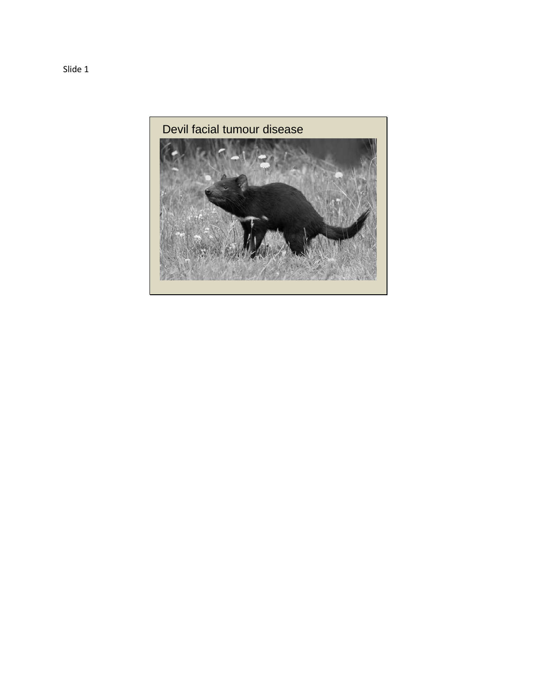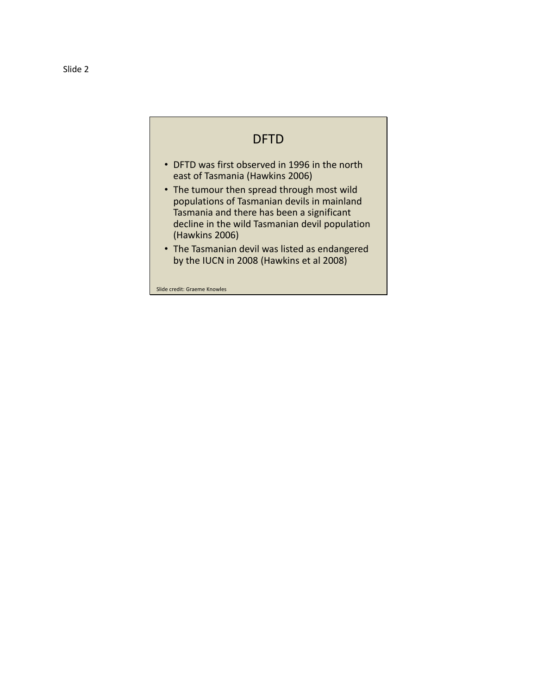## DFTD

- DFTD was first observed in 1996 in the north east of Tasmania (Hawkins 2006)
- The tumour then spread through most wild populations of Tasmanian devils in mainland Tasmania and there has been a significant decline in the wild Tasmanian devil population (Hawkins 2006)
- The Tasmanian devil was listed as endangered by the IUCN in 2008 (Hawkins et al 2008)

Slide credit: Graeme Knowles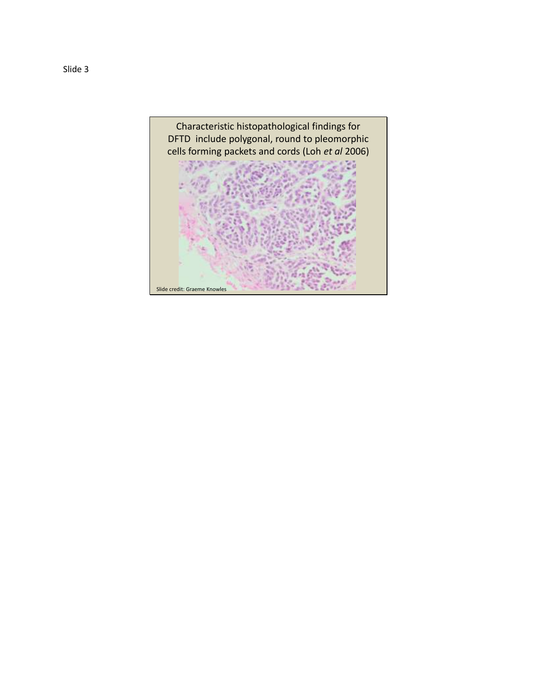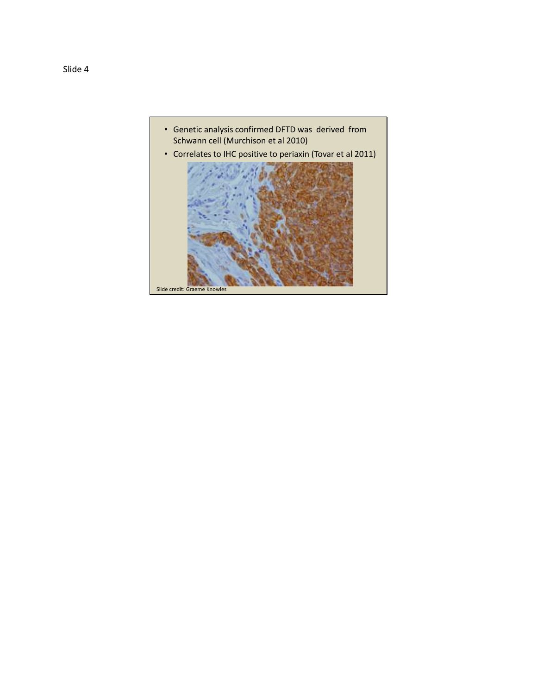

• Correlates to IHC positive to periaxin (Tovar et al 2011)

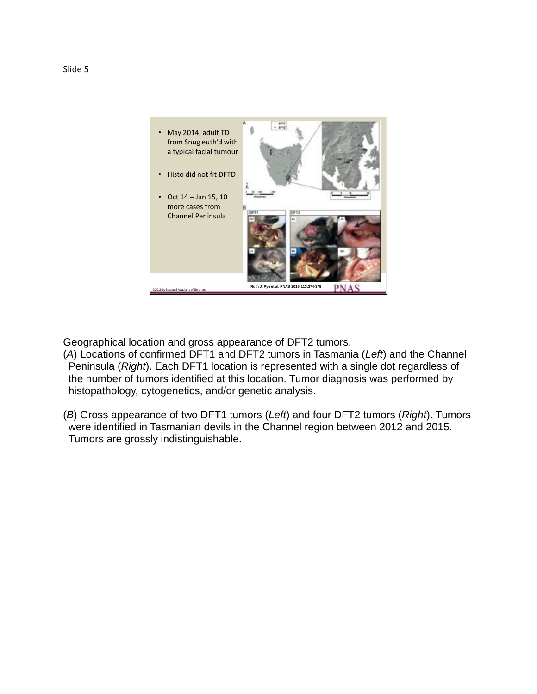

Geographical location and gross appearance of DFT2 tumors.

- (*A*) Locations of confirmed DFT1 and DFT2 tumors in Tasmania (*Left*) and the Channel Peninsula (*Right*). Each DFT1 location is represented with a single dot regardless of the number of tumors identified at this location. Tumor diagnosis was performed by histopathology, cytogenetics, and/or genetic analysis.
- (*B*) Gross appearance of two DFT1 tumors (*Left*) and four DFT2 tumors (*Right*). Tumors were identified in Tasmanian devils in the Channel region between 2012 and 2015. Tumors are grossly indistinguishable.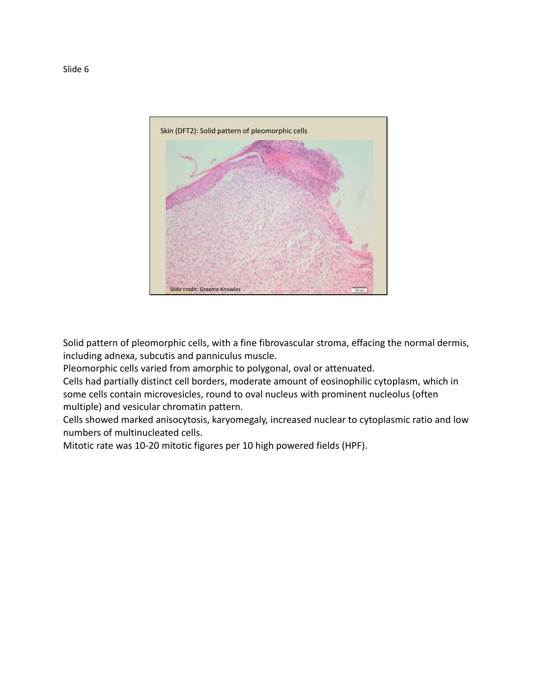

Solid pattern of pleomorphic cells, with a fine fibrovascular stroma, effacing the normal dermis, including adnexa, subcutis and panniculus muscle.

Pleomorphic cells varied from amorphic to polygonal, oval or attenuated.

Cells had partially distinct cell borders, moderate amount of eosinophilic cytoplasm, which in some cells contain microvesicles, round to oval nucleus with prominent nucleolus (often multiple) and vesicular chromatin pattern.

Cells showed marked anisocytosis, karyomegaly, increased nuclear to cytoplasmic ratio and low numbers of multinucleated cells.

Mitotic rate was 10-20 mitotic figures per 10 high powered fields (HPF).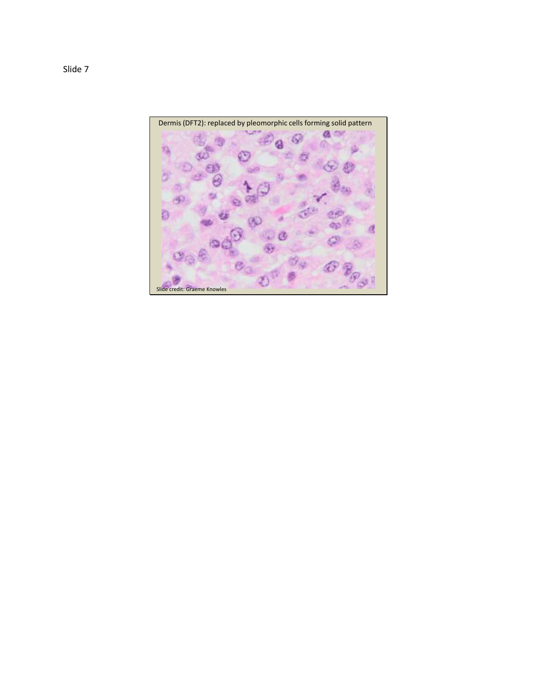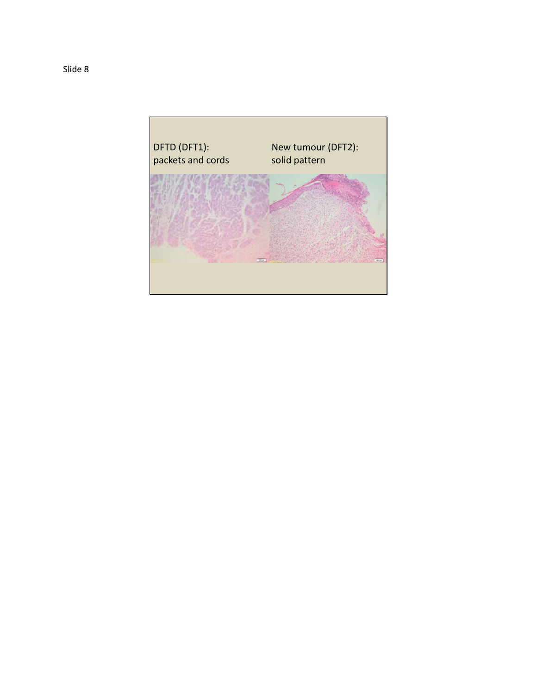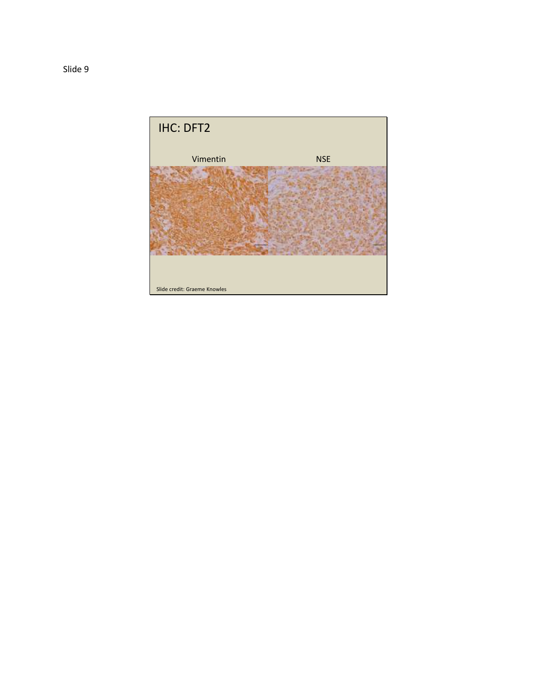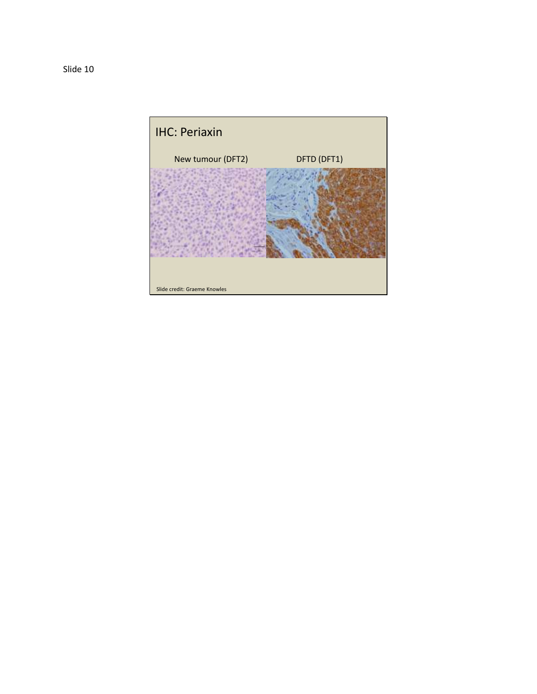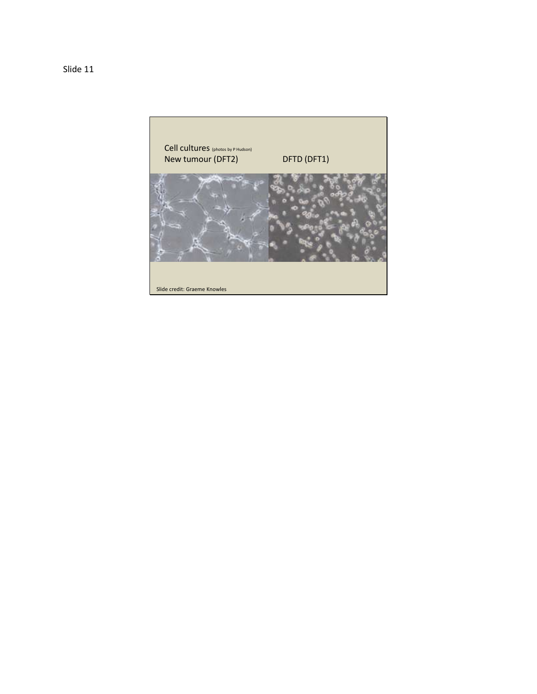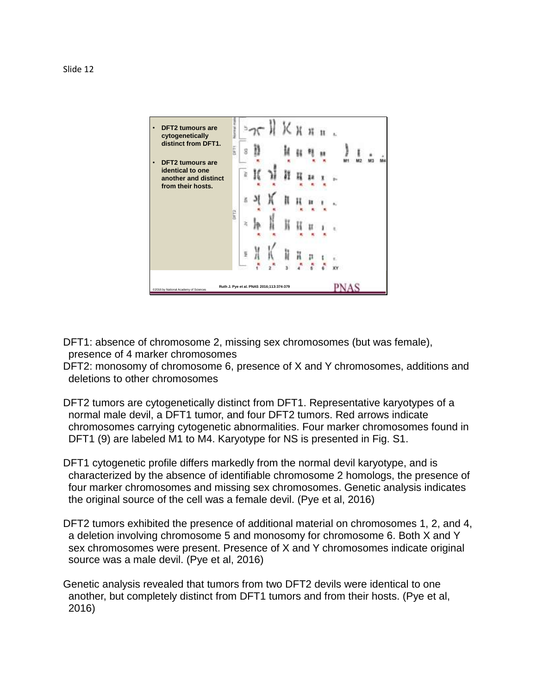

- DFT1: absence of chromosome 2, missing sex chromosomes (but was female), presence of 4 marker chromosomes
- DFT2: monosomy of chromosome 6, presence of X and Y chromosomes, additions and deletions to other chromosomes
- DFT2 tumors are cytogenetically distinct from DFT1. Representative karyotypes of a normal male devil, a DFT1 tumor, and four DFT2 tumors. Red arrows indicate chromosomes carrying cytogenetic abnormalities. Four marker chromosomes found in DFT1 (9) are labeled M1 to M4. Karyotype for NS is presented in Fig. S1.
- DFT1 cytogenetic profile differs markedly from the normal devil karyotype, and is characterized by the absence of identifiable chromosome 2 homologs, the presence of four marker chromosomes and missing sex chromosomes. Genetic analysis indicates the original source of the cell was a female devil. (Pye et al, 2016)
- DFT2 tumors exhibited the presence of additional material on chromosomes 1, 2, and 4, a deletion involving chromosome 5 and monosomy for chromosome 6. Both X and Y sex chromosomes were present. Presence of X and Y chromosomes indicate original source was a male devil. (Pye et al, 2016)
- Genetic analysis revealed that tumors from two DFT2 devils were identical to one another, but completely distinct from DFT1 tumors and from their hosts. (Pye et al, 2016)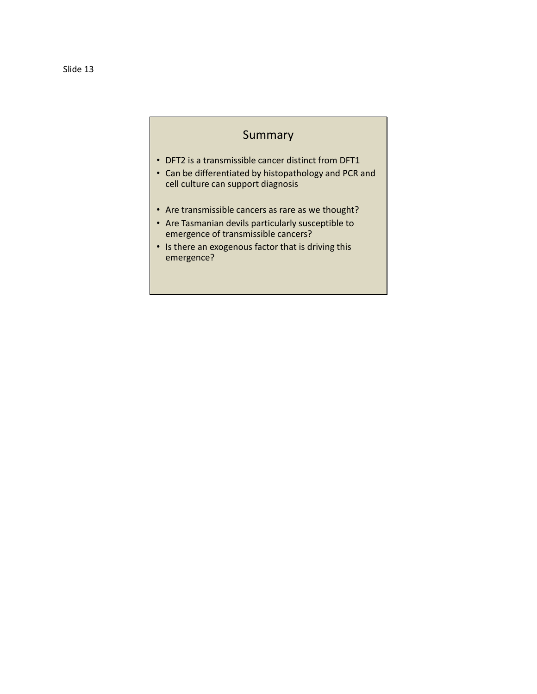## **Summary**

- DFT2 is a transmissible cancer distinct from DFT1
- Can be differentiated by histopathology and PCR and cell culture can support diagnosis
- Are transmissible cancers as rare as we thought?
- Are Tasmanian devils particularly susceptible to emergence of transmissible cancers?
- Is there an exogenous factor that is driving this emergence?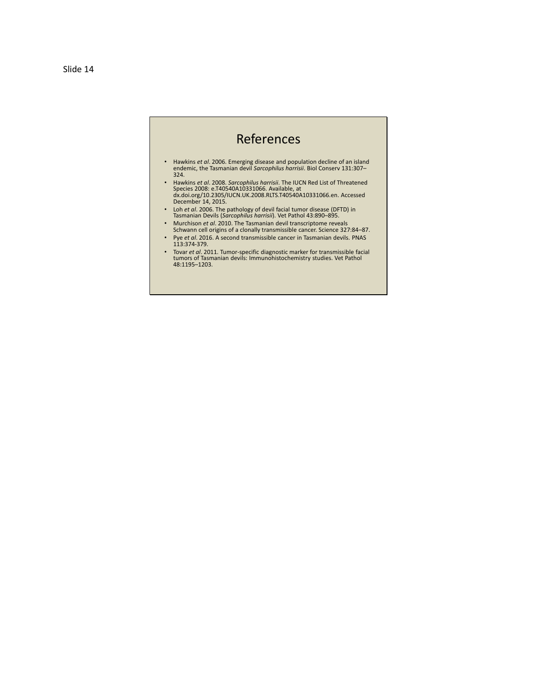## References

- Hawkins *et al*. 2006. Emerging disease and population decline of an island endemic, the Tasmanian devil *Sarcophilus harrisii*. Biol Conserv 131:307– 324.
- Hawkins *et al*. 2008. *Sarcophilus harrisii*. The IUCN Red List of Threatened Species 2008: e.T40540A10331066. Available, at dx.doi.org/10.2305/IUCN.UK.2008.RLTS.T40540A10331066.en. Accessed December 14, 2015.
- Loh *et al*. 2006. The pathology of devil facial tumor disease (DFTD) in Tasmanian Devils (*Sarcophilus harrisii*). Vet Pathol 43:890–895.
- Murchison *et al*. 2010. The Tasmanian devil transcriptome reveals Schwann cell origins of a clonally transmissible cancer. Science 327:84–87.
- Pye *et al*. 2016. A second transmissible cancer in Tasmanian devils. PNAS 113:374-379.
- Tovar *et al*. 2011. Tumor-specific diagnostic marker for transmissible facial tumors of Tasmanian devils: Immunohistochemistry studies. Vet Pathol 48:1195–1203.